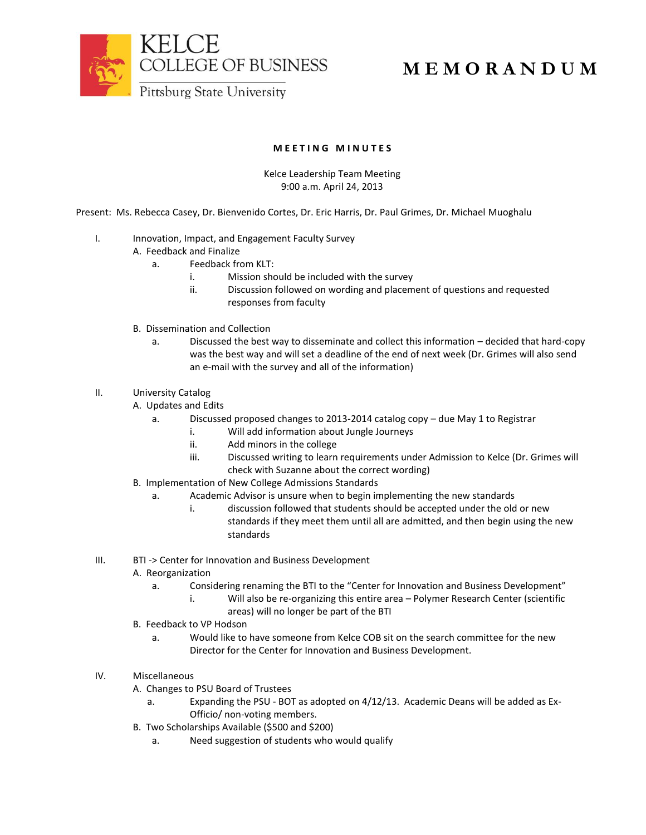

## **M E M O R A N D U M**

## **M E E T I N G M I N U T E S**

## Kelce Leadership Team Meeting 9:00 a.m. April 24, 2013

Present: Ms. Rebecca Casey, Dr. Bienvenido Cortes, Dr. Eric Harris, Dr. Paul Grimes, Dr. Michael Muoghalu

- I. Innovation, Impact, and Engagement Faculty Survey
	- A. Feedback and Finalize
		- a. Feedback from KLT:
			- i. Mission should be included with the survey
			- ii. Discussion followed on wording and placement of questions and requested responses from faculty
	- B. Dissemination and Collection
		- a. Discussed the best way to disseminate and collect this information decided that hard-copy was the best way and will set a deadline of the end of next week (Dr. Grimes will also send an e-mail with the survey and all of the information)
- II. University Catalog
	- A. Updates and Edits
		- a. Discussed proposed changes to 2013-2014 catalog copy due May 1 to Registrar
			- i. Will add information about Jungle Journeys
			- ii. Add minors in the college
			- iii. Discussed writing to learn requirements under Admission to Kelce (Dr. Grimes will check with Suzanne about the correct wording)
	- B. Implementation of New College Admissions Standards
		- a. Academic Advisor is unsure when to begin implementing the new standards
			- i. discussion followed that students should be accepted under the old or new standards if they meet them until all are admitted, and then begin using the new standards
- III. BTI -> Center for Innovation and Business Development
	- A. Reorganization
		- a. Considering renaming the BTI to the "Center for Innovation and Business Development"
			- i. Will also be re-organizing this entire area Polymer Research Center (scientific areas) will no longer be part of the BTI
	- B. Feedback to VP Hodson
		- a. Would like to have someone from Kelce COB sit on the search committee for the new Director for the Center for Innovation and Business Development.
- IV. Miscellaneous
	- A. Changes to PSU Board of Trustees
		- a. Expanding the PSU BOT as adopted on 4/12/13. Academic Deans will be added as Ex-Officio/ non-voting members.
	- B. Two Scholarships Available (\$500 and \$200)
		- a. Need suggestion of students who would qualify